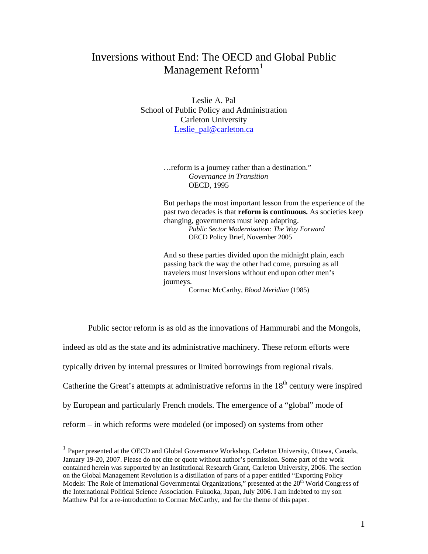# Inversions without End: The OECD and Global Public Management Reform<sup>[1](#page-0-0)</sup>

Leslie A. Pal School of Public Policy and Administration Carleton University Leslie\_pal@carleton.ca

> …reform is a journey rather than a destination." *Governance in Transition* OECD, 1995

But perhaps the most important lesson from the experience of the past two decades is that **reform is continuous.** As societies keep changing, governments must keep adapting. *Public Sector Modernisation: The Way Forward*  OECD Policy Brief, November 2005

And so these parties divided upon the midnight plain, each passing back the way the other had come, pursuing as all travelers must inversions without end upon other men's journeys.

Cormac McCarthy, *Blood Meridian* (1985)

Public sector reform is as old as the innovations of Hammurabi and the Mongols, indeed as old as the state and its administrative machinery. These reform efforts were typically driven by internal pressures or limited borrowings from regional rivals. Catherine the Great's attempts at administrative reforms in the  $18<sup>th</sup>$  century were inspired by European and particularly French models. The emergence of a "global" mode of reform – in which reforms were modeled (or imposed) on systems from other

<span id="page-0-0"></span><sup>&</sup>lt;sup>1</sup> Paper presented at the OECD and Global Governance Workshop, Carleton University, Ottawa, Canada, January 19-20, 2007. Please do not cite or quote without author's permission. Some part of the work contained herein was supported by an Institutional Research Grant, Carleton University, 2006. The section on the Global Management Revolution is a distillation of parts of a paper entitled "Exporting Policy Models: The Role of International Governmental Organizations," presented at the 20<sup>th</sup> World Congress of the International Political Science Association. Fukuoka, Japan, July 2006. I am indebted to my son Matthew Pal for a re-introduction to Cormac McCarthy, and for the theme of this paper.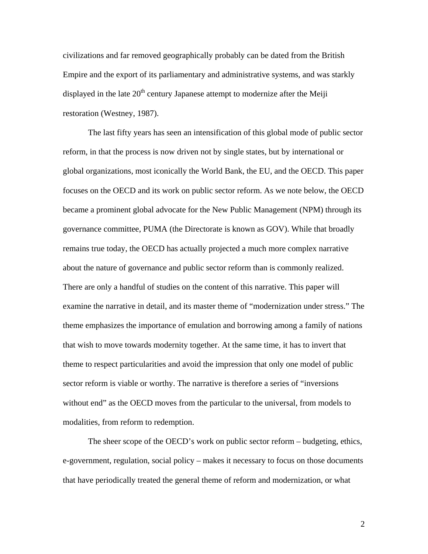civilizations and far removed geographically probably can be dated from the British Empire and the export of its parliamentary and administrative systems, and was starkly displayed in the late  $20<sup>th</sup>$  century Japanese attempt to modernize after the Meiji restoration (Westney, 1987).

The last fifty years has seen an intensification of this global mode of public sector reform, in that the process is now driven not by single states, but by international or global organizations, most iconically the World Bank, the EU, and the OECD. This paper focuses on the OECD and its work on public sector reform. As we note below, the OECD became a prominent global advocate for the New Public Management (NPM) through its governance committee, PUMA (the Directorate is known as GOV). While that broadly remains true today, the OECD has actually projected a much more complex narrative about the nature of governance and public sector reform than is commonly realized. There are only a handful of studies on the content of this narrative. This paper will examine the narrative in detail, and its master theme of "modernization under stress." The theme emphasizes the importance of emulation and borrowing among a family of nations that wish to move towards modernity together. At the same time, it has to invert that theme to respect particularities and avoid the impression that only one model of public sector reform is viable or worthy. The narrative is therefore a series of "inversions without end" as the OECD moves from the particular to the universal, from models to modalities, from reform to redemption.

The sheer scope of the OECD's work on public sector reform – budgeting, ethics, e-government, regulation, social policy – makes it necessary to focus on those documents that have periodically treated the general theme of reform and modernization, or what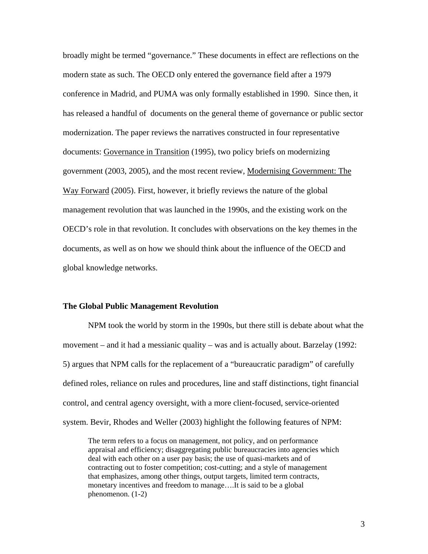broadly might be termed "governance." These documents in effect are reflections on the modern state as such. The OECD only entered the governance field after a 1979 conference in Madrid, and PUMA was only formally established in 1990. Since then, it has released a handful of documents on the general theme of governance or public sector modernization. The paper reviews the narratives constructed in four representative documents: Governance in Transition (1995), two policy briefs on modernizing government (2003, 2005), and the most recent review, Modernising Government: The Way Forward (2005). First, however, it briefly reviews the nature of the global management revolution that was launched in the 1990s, and the existing work on the OECD's role in that revolution. It concludes with observations on the key themes in the documents, as well as on how we should think about the influence of the OECD and global knowledge networks.

#### **The Global Public Management Revolution**

NPM took the world by storm in the 1990s, but there still is debate about what the movement – and it had a messianic quality – was and is actually about. Barzelay (1992: 5) argues that NPM calls for the replacement of a "bureaucratic paradigm" of carefully defined roles, reliance on rules and procedures, line and staff distinctions, tight financial control, and central agency oversight, with a more client-focused, service-oriented system. Bevir, Rhodes and Weller (2003) highlight the following features of NPM:

The term refers to a focus on management, not policy, and on performance appraisal and efficiency; disaggregating public bureaucracies into agencies which deal with each other on a user pay basis; the use of quasi-markets and of contracting out to foster competition; cost-cutting; and a style of management that emphasizes, among other things, output targets, limited term contracts, monetary incentives and freedom to manage….It is said to be a global phenomenon. (1-2)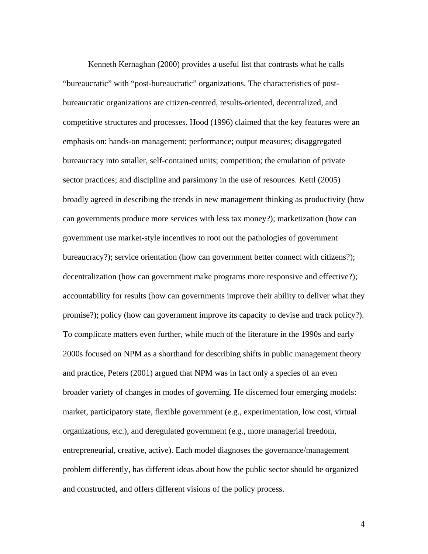Kenneth Kernaghan (2000) provides a useful list that contrasts what he calls "bureaucratic" with "post-bureaucratic" organizations. The characteristics of postbureaucratic organizations are citizen-centred, results-oriented, decentralized, and competitive structures and processes. Hood (1996) claimed that the key features were an emphasis on: hands-on management; performance; output measures; disaggregated bureaucracy into smaller, self-contained units; competition; the emulation of private sector practices; and discipline and parsimony in the use of resources. Kettl (2005) broadly agreed in describing the trends in new management thinking as productivity (how can governments produce more services with less tax money?); marketization (how can government use market-style incentives to root out the pathologies of government bureaucracy?); service orientation (how can government better connect with citizens?); decentralization (how can government make programs more responsive and effective?); accountability for results (how can governments improve their ability to deliver what they promise?); policy (how can government improve its capacity to devise and track policy?). To complicate matters even further, while much of the literature in the 1990s and early 2000s focused on NPM as a shorthand for describing shifts in public management theory and practice, Peters (2001) argued that NPM was in fact only a species of an even broader variety of changes in modes of governing. He discerned four emerging models: market, participatory state, flexible government (e.g., experimentation, low cost, virtual organizations, etc.), and deregulated government (e.g., more managerial freedom, entrepreneurial, creative, active). Each model diagnoses the governance/management problem differently, has different ideas about how the public sector should be organized and constructed, and offers different visions of the policy process.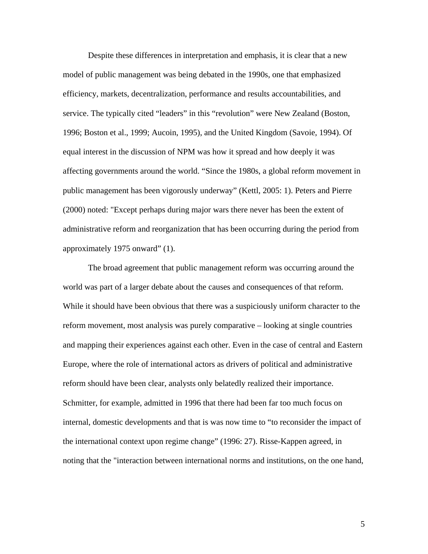Despite these differences in interpretation and emphasis, it is clear that a new model of public management was being debated in the 1990s, one that emphasized efficiency, markets, decentralization, performance and results accountabilities, and service. The typically cited "leaders" in this "revolution" were New Zealand (Boston, 1996; Boston et al., 1999; Aucoin, 1995), and the United Kingdom (Savoie, 1994). Of equal interest in the discussion of NPM was how it spread and how deeply it was affecting governments around the world. "Since the 1980s, a global reform movement in public management has been vigorously underway" (Kettl, 2005: 1). Peters and Pierre (2000) noted: "Except perhaps during major wars there never has been the extent of administrative reform and reorganization that has been occurring during the period from approximately 1975 onward" (1).

The broad agreement that public management reform was occurring around the world was part of a larger debate about the causes and consequences of that reform. While it should have been obvious that there was a suspiciously uniform character to the reform movement, most analysis was purely comparative – looking at single countries and mapping their experiences against each other. Even in the case of central and Eastern Europe, where the role of international actors as drivers of political and administrative reform should have been clear, analysts only belatedly realized their importance. Schmitter, for example, admitted in 1996 that there had been far too much focus on internal, domestic developments and that is was now time to "to reconsider the impact of the international context upon regime change" (1996: 27). Risse-Kappen agreed, in noting that the "interaction between international norms and institutions, on the one hand,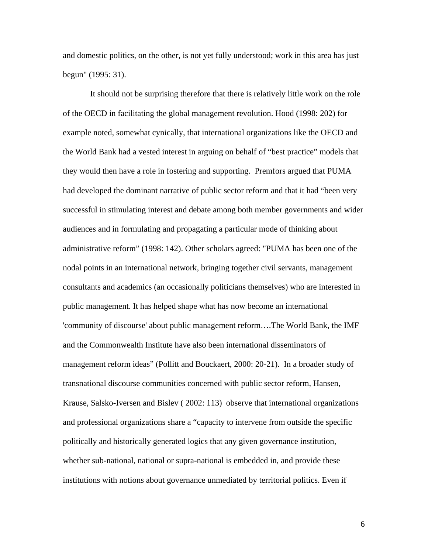and domestic politics, on the other, is not yet fully understood; work in this area has just begun" (1995: 31).

 It should not be surprising therefore that there is relatively little work on the role of the OECD in facilitating the global management revolution. Hood (1998: 202) for example noted, somewhat cynically, that international organizations like the OECD and the World Bank had a vested interest in arguing on behalf of "best practice" models that they would then have a role in fostering and supporting. Premfors argued that PUMA had developed the dominant narrative of public sector reform and that it had "been very successful in stimulating interest and debate among both member governments and wider audiences and in formulating and propagating a particular mode of thinking about administrative reform" (1998: 142). Other scholars agreed: "PUMA has been one of the nodal points in an international network, bringing together civil servants, management consultants and academics (an occasionally politicians themselves) who are interested in public management. It has helped shape what has now become an international 'community of discourse' about public management reform….The World Bank, the IMF and the Commonwealth Institute have also been international disseminators of management reform ideas" (Pollitt and Bouckaert, 2000: 20-21). In a broader study of transnational discourse communities concerned with public sector reform, Hansen, Krause, Salsko-Iversen and Bislev ( 2002: 113) observe that international organizations and professional organizations share a "capacity to intervene from outside the specific politically and historically generated logics that any given governance institution, whether sub-national, national or supra-national is embedded in, and provide these institutions with notions about governance unmediated by territorial politics. Even if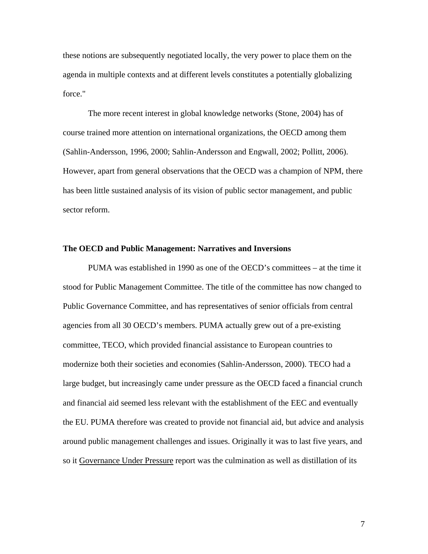these notions are subsequently negotiated locally, the very power to place them on the agenda in multiple contexts and at different levels constitutes a potentially globalizing force."

The more recent interest in global knowledge networks (Stone, 2004) has of course trained more attention on international organizations, the OECD among them (Sahlin-Andersson, 1996, 2000; Sahlin-Andersson and Engwall, 2002; Pollitt, 2006). However, apart from general observations that the OECD was a champion of NPM, there has been little sustained analysis of its vision of public sector management, and public sector reform.

#### **The OECD and Public Management: Narratives and Inversions**

PUMA was established in 1990 as one of the OECD's committees – at the time it stood for Public Management Committee. The title of the committee has now changed to Public Governance Committee, and has representatives of senior officials from central agencies from all 30 OECD's members. PUMA actually grew out of a pre-existing committee, TECO, which provided financial assistance to European countries to modernize both their societies and economies (Sahlin-Andersson, 2000). TECO had a large budget, but increasingly came under pressure as the OECD faced a financial crunch and financial aid seemed less relevant with the establishment of the EEC and eventually the EU. PUMA therefore was created to provide not financial aid, but advice and analysis around public management challenges and issues. Originally it was to last five years, and so it Governance Under Pressure report was the culmination as well as distillation of its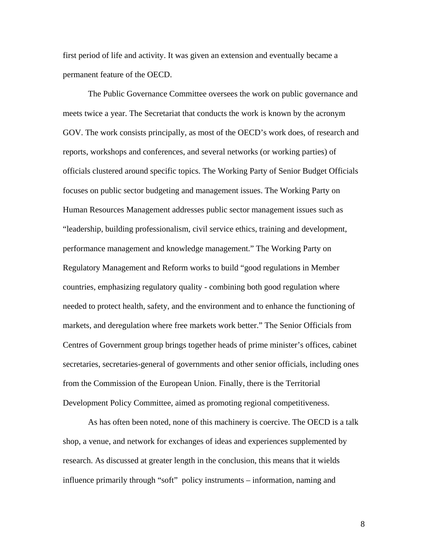first period of life and activity. It was given an extension and eventually became a permanent feature of the OECD.

The Public Governance Committee oversees the work on public governance and meets twice a year. The Secretariat that conducts the work is known by the acronym GOV. The work consists principally, as most of the OECD's work does, of research and reports, workshops and conferences, and several networks (or working parties) of officials clustered around specific topics. The Working Party of Senior Budget Officials focuses on public sector budgeting and management issues. The Working Party on Human Resources Management addresses public sector management issues such as "leadership, building professionalism, civil service ethics, training and development, performance management and knowledge management." The Working Party on Regulatory Management and Reform works to build "good regulations in Member countries, emphasizing regulatory quality - combining both good regulation where needed to protect health, safety, and the environment and to enhance the functioning of markets, and deregulation where free markets work better." The Senior Officials from Centres of Government group brings together heads of prime minister's offices, cabinet secretaries, secretaries-general of governments and other senior officials, including ones from the Commission of the European Union. Finally, there is the Territorial Development Policy Committee, aimed as promoting regional competitiveness.

As has often been noted, none of this machinery is coercive. The OECD is a talk shop, a venue, and network for exchanges of ideas and experiences supplemented by research. As discussed at greater length in the conclusion, this means that it wields influence primarily through "soft" policy instruments – information, naming and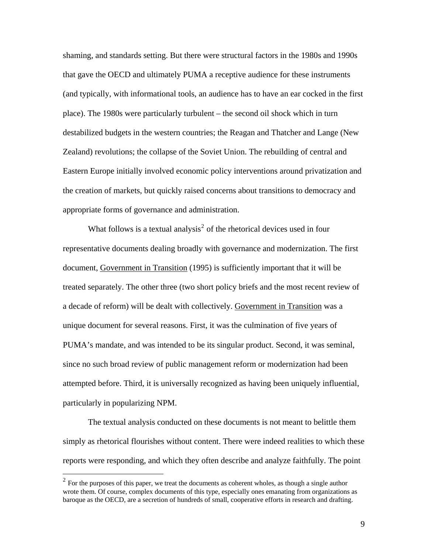shaming, and standards setting. But there were structural factors in the 1980s and 1990s that gave the OECD and ultimately PUMA a receptive audience for these instruments (and typically, with informational tools, an audience has to have an ear cocked in the first place). The 1980s were particularly turbulent – the second oil shock which in turn destabilized budgets in the western countries; the Reagan and Thatcher and Lange (New Zealand) revolutions; the collapse of the Soviet Union. The rebuilding of central and Eastern Europe initially involved economic policy interventions around privatization and the creation of markets, but quickly raised concerns about transitions to democracy and appropriate forms of governance and administration.

What follows is a textual analysis<sup>[2](#page-8-0)</sup> of the rhetorical devices used in four representative documents dealing broadly with governance and modernization. The first document, Government in Transition (1995) is sufficiently important that it will be treated separately. The other three (two short policy briefs and the most recent review of a decade of reform) will be dealt with collectively. Government in Transition was a unique document for several reasons. First, it was the culmination of five years of PUMA's mandate, and was intended to be its singular product. Second, it was seminal, since no such broad review of public management reform or modernization had been attempted before. Third, it is universally recognized as having been uniquely influential, particularly in popularizing NPM.

The textual analysis conducted on these documents is not meant to belittle them simply as rhetorical flourishes without content. There were indeed realities to which these reports were responding, and which they often describe and analyze faithfully. The point

<span id="page-8-0"></span> $2^2$  For the purposes of this paper, we treat the documents as coherent wholes, as though a single author wrote them. Of course, complex documents of this type, especially ones emanating from organizations as baroque as the OECD, are a secretion of hundreds of small, cooperative efforts in research and drafting.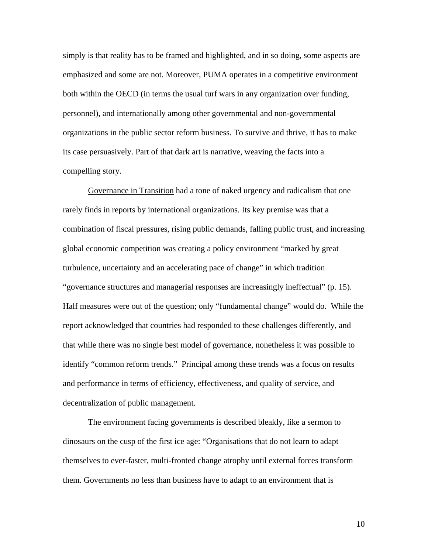simply is that reality has to be framed and highlighted, and in so doing, some aspects are emphasized and some are not. Moreover, PUMA operates in a competitive environment both within the OECD (in terms the usual turf wars in any organization over funding, personnel), and internationally among other governmental and non-governmental organizations in the public sector reform business. To survive and thrive, it has to make its case persuasively. Part of that dark art is narrative, weaving the facts into a compelling story.

Governance in Transition had a tone of naked urgency and radicalism that one rarely finds in reports by international organizations. Its key premise was that a combination of fiscal pressures, rising public demands, falling public trust, and increasing global economic competition was creating a policy environment "marked by great turbulence, uncertainty and an accelerating pace of change" in which tradition "governance structures and managerial responses are increasingly ineffectual" (p. 15). Half measures were out of the question; only "fundamental change" would do. While the report acknowledged that countries had responded to these challenges differently, and that while there was no single best model of governance, nonetheless it was possible to identify "common reform trends." Principal among these trends was a focus on results and performance in terms of efficiency, effectiveness, and quality of service, and decentralization of public management.

The environment facing governments is described bleakly, like a sermon to dinosaurs on the cusp of the first ice age: "Organisations that do not learn to adapt themselves to ever-faster, multi-fronted change atrophy until external forces transform them. Governments no less than business have to adapt to an environment that is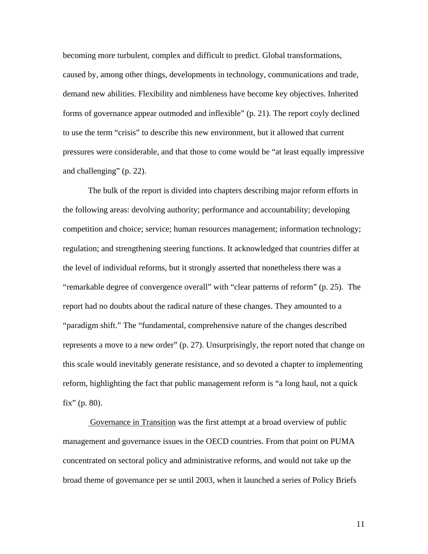becoming more turbulent, complex and difficult to predict. Global transformations, caused by, among other things, developments in technology, communications and trade, demand new abilities. Flexibility and nimbleness have become key objectives. Inherited forms of governance appear outmoded and inflexible" (p. 21). The report coyly declined to use the term "crisis" to describe this new environment, but it allowed that current pressures were considerable, and that those to come would be "at least equally impressive and challenging" (p. 22).

The bulk of the report is divided into chapters describing major reform efforts in the following areas: devolving authority; performance and accountability; developing competition and choice; service; human resources management; information technology; regulation; and strengthening steering functions. It acknowledged that countries differ at the level of individual reforms, but it strongly asserted that nonetheless there was a "remarkable degree of convergence overall" with "clear patterns of reform" (p. 25). The report had no doubts about the radical nature of these changes. They amounted to a "paradigm shift." The "fundamental, comprehensive nature of the changes described represents a move to a new order" (p. 27). Unsurprisingly, the report noted that change on this scale would inevitably generate resistance, and so devoted a chapter to implementing reform, highlighting the fact that public management reform is "a long haul, not a quick fix" (p. 80).

 Governance in Transition was the first attempt at a broad overview of public management and governance issues in the OECD countries. From that point on PUMA concentrated on sectoral policy and administrative reforms, and would not take up the broad theme of governance per se until 2003, when it launched a series of Policy Briefs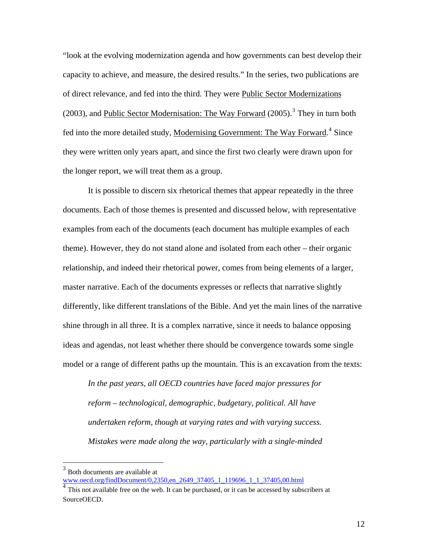"look at the evolving modernization agenda and how governments can best develop their capacity to achieve, and measure, the desired results." In the series, two publications are of direct relevance, and fed into the third. They were Public Sector Modernizations  $(2003)$  $(2003)$  $(2003)$ , and Public Sector Modernisation: The Way Forward  $(2005)$ .<sup>3</sup> They in turn both fed into the more detailed study, Modernising Government: The Way Forward.<sup>[4](#page-11-1)</sup> Since they were written only years apart, and since the first two clearly were drawn upon for the longer report, we will treat them as a group.

It is possible to discern six rhetorical themes that appear repeatedly in the three documents. Each of those themes is presented and discussed below, with representative examples from each of the documents (each document has multiple examples of each theme). However, they do not stand alone and isolated from each other – their organic relationship, and indeed their rhetorical power, comes from being elements of a larger, master narrative. Each of the documents expresses or reflects that narrative slightly differently, like different translations of the Bible. And yet the main lines of the narrative shine through in all three. It is a complex narrative, since it needs to balance opposing ideas and agendas, not least whether there should be convergence towards some single model or a range of different paths up the mountain. This is an excavation from the texts:

*In the past years, all OECD countries have faced major pressures for reform – technological, demographic, budgetary, political. All have undertaken reform, though at varying rates and with varying success. Mistakes were made along the way, particularly with a single-minded* 

<span id="page-11-0"></span> $3$  Both documents are available at<br>www.oecd.org/findDocument/0,2350,en\_2649\_37405 1 119696 1 1 37405.00.html

<span id="page-11-1"></span> $\frac{4}{\sqrt{1}}$  This not available free on the web. It can be purchased, or it can be accessed by subscribers at SourceOECD.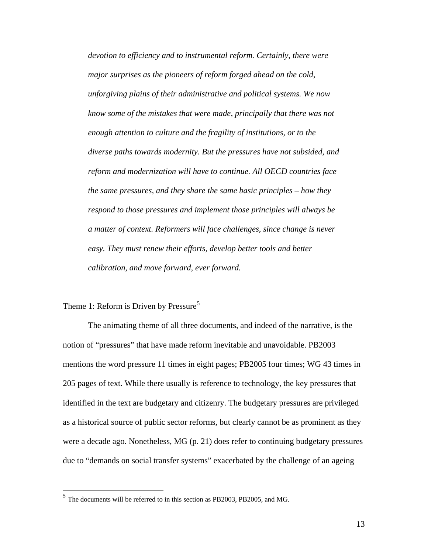*devotion to efficiency and to instrumental reform. Certainly, there were major surprises as the pioneers of reform forged ahead on the cold, unforgiving plains of their administrative and political systems. We now know some of the mistakes that were made, principally that there was not enough attention to culture and the fragility of institutions, or to the diverse paths towards modernity. But the pressures have not subsided, and reform and modernization will have to continue. All OECD countries face the same pressures, and they share the same basic principles – how they respond to those pressures and implement those principles will always be a matter of context. Reformers will face challenges, since change is never easy. They must renew their efforts, develop better tools and better calibration, and move forward, ever forward.* 

# Theme 1: Reform is Driven by Pressure<sup>[5](#page-12-0)</sup>

 $\overline{a}$ 

The animating theme of all three documents, and indeed of the narrative, is the notion of "pressures" that have made reform inevitable and unavoidable. PB2003 mentions the word pressure 11 times in eight pages; PB2005 four times; WG 43 times in 205 pages of text. While there usually is reference to technology, the key pressures that identified in the text are budgetary and citizenry. The budgetary pressures are privileged as a historical source of public sector reforms, but clearly cannot be as prominent as they were a decade ago. Nonetheless, MG (p. 21) does refer to continuing budgetary pressures due to "demands on social transfer systems" exacerbated by the challenge of an ageing

<span id="page-12-0"></span> $<sup>5</sup>$  The documents will be referred to in this section as PB2003, PB2005, and MG.</sup>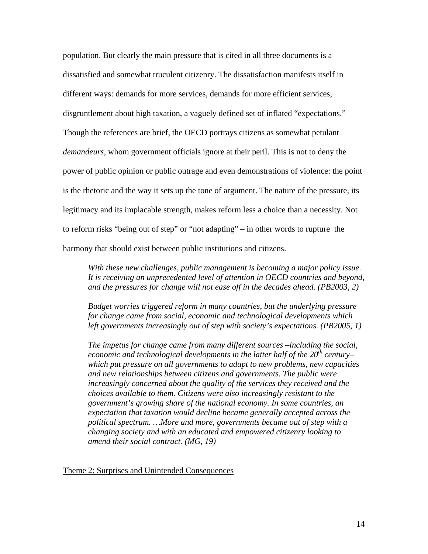population. But clearly the main pressure that is cited in all three documents is a dissatisfied and somewhat truculent citizenry. The dissatisfaction manifests itself in different ways: demands for more services, demands for more efficient services, disgruntlement about high taxation, a vaguely defined set of inflated "expectations." Though the references are brief, the OECD portrays citizens as somewhat petulant *demandeurs*, whom government officials ignore at their peril. This is not to deny the power of public opinion or public outrage and even demonstrations of violence: the point is the rhetoric and the way it sets up the tone of argument. The nature of the pressure, its legitimacy and its implacable strength, makes reform less a choice than a necessity. Not to reform risks "being out of step" or "not adapting" – in other words to rupture the harmony that should exist between public institutions and citizens.

*With these new challenges, public management is becoming a major policy issue. It is receiving an unprecedented level of attention in OECD countries and beyond, and the pressures for change will not ease off in the decades ahead. (PB2003, 2)* 

*Budget worries triggered reform in many countries, but the underlying pressure for change came from social, economic and technological developments which left governments increasingly out of step with society's expectations. (PB2005, 1)* 

*The impetus for change came from many different sources –including the social, economic and technological developments in the latter half of the 20<sup>th</sup> century– which put pressure on all governments to adapt to new problems, new capacities and new relationships between citizens and governments. The public were increasingly concerned about the quality of the services they received and the choices available to them. Citizens were also increasingly resistant to the government's growing share of the national economy. In some countries, an expectation that taxation would decline became generally accepted across the political spectrum. …More and more, governments became out of step with a changing society and with an educated and empowered citizenry looking to amend their social contract. (MG, 19)* 

Theme 2: Surprises and Unintended Consequences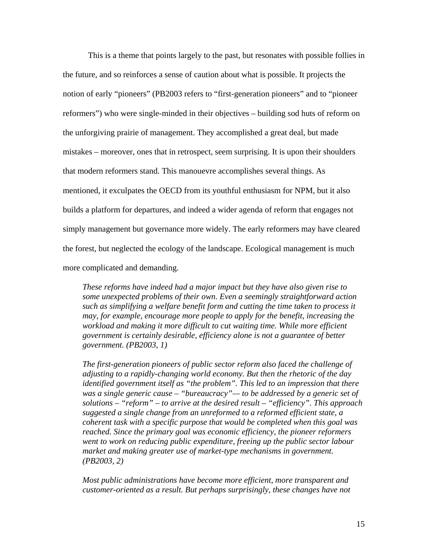This is a theme that points largely to the past, but resonates with possible follies in the future, and so reinforces a sense of caution about what is possible. It projects the notion of early "pioneers" (PB2003 refers to "first-generation pioneers" and to "pioneer reformers") who were single-minded in their objectives – building sod huts of reform on the unforgiving prairie of management. They accomplished a great deal, but made mistakes – moreover, ones that in retrospect, seem surprising. It is upon their shoulders that modern reformers stand. This manouevre accomplishes several things. As mentioned, it exculpates the OECD from its youthful enthusiasm for NPM, but it also builds a platform for departures, and indeed a wider agenda of reform that engages not simply management but governance more widely. The early reformers may have cleared the forest, but neglected the ecology of the landscape. Ecological management is much more complicated and demanding.

*These reforms have indeed had a major impact but they have also given rise to some unexpected problems of their own. Even a seemingly straightforward action such as simplifying a welfare benefit form and cutting the time taken to process it may, for example, encourage more people to apply for the benefit, increasing the*  workload and making it more difficult to cut waiting time. While more efficient *government is certainly desirable, efficiency alone is not a guarantee of better government. (PB2003, 1)* 

*The first-generation pioneers of public sector reform also faced the challenge of adjusting to a rapidly-changing world economy. But then the rhetoric of the day identified government itself as "the problem". This led to an impression that there* was a single generic cause – "bureaucracy"— to be addressed by a generic set of *solutions – "reform" – to arrive at the desired result – "efficiency". This approach suggested a single change from an unreformed to a reformed efficient state, a coherent task with a specific purpose that would be completed when this goal was reached. Since the primary goal was economic efficiency, the pioneer reformers went to work on reducing public expenditure, freeing up the public sector labour market and making greater use of market-type mechanisms in government. (PB2003, 2)* 

*Most public administrations have become more efficient, more transparent and customer-oriented as a result. But perhaps surprisingly, these changes have not*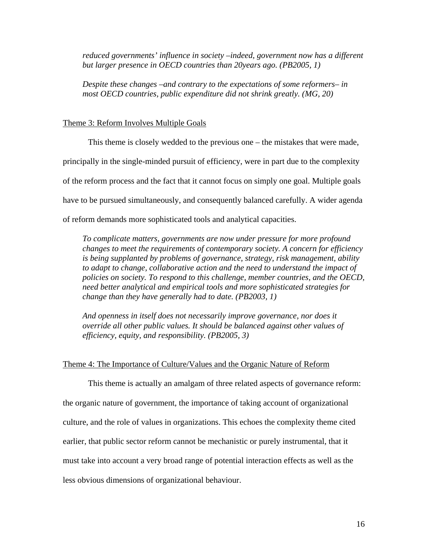reduced governments' influence in society –indeed, government now has a different *but larger presence in OECD countries than 20years ago. (PB2005, 1)* 

*Despite these changes –and contrary to the expectations of some reformers– in most OECD countries, public expenditure did not shrink greatly. (MG, 20)* 

# Theme 3: Reform Involves Multiple Goals

This theme is closely wedded to the previous one – the mistakes that were made, principally in the single-minded pursuit of efficiency, were in part due to the complexity of the reform process and the fact that it cannot focus on simply one goal. Multiple goals have to be pursued simultaneously, and consequently balanced carefully. A wider agenda of reform demands more sophisticated tools and analytical capacities.

*To complicate matters, governments are now under pressure for more profound changes to meet the requirements of contemporary society. A concern for efficiency is being supplanted by problems of governance, strategy, risk management, ability*  to adapt to change, collaborative action and the need to understand the impact of *policies on society. To respond to this challenge, member countries, and the OECD, need better analytical and empirical tools and more sophisticated strategies for change than they have generally had to date. (PB2003, 1)* 

*And openness in itself does not necessarily improve governance, nor does it override all other public values. It should be balanced against other values of efficiency, equity, and responsibility. (PB2005, 3)*

#### Theme 4: The Importance of Culture/Values and the Organic Nature of Reform

This theme is actually an amalgam of three related aspects of governance reform: the organic nature of government, the importance of taking account of organizational culture, and the role of values in organizations. This echoes the complexity theme cited earlier, that public sector reform cannot be mechanistic or purely instrumental, that it must take into account a very broad range of potential interaction effects as well as the less obvious dimensions of organizational behaviour.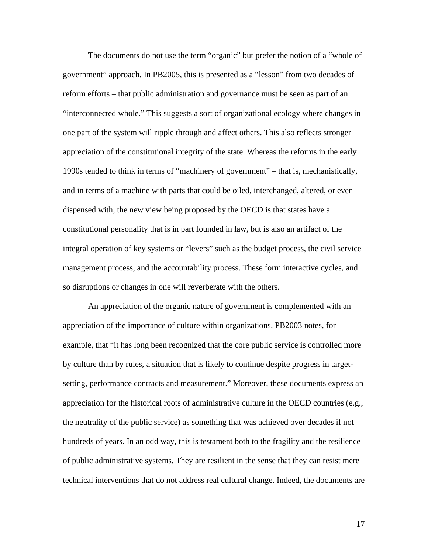The documents do not use the term "organic" but prefer the notion of a "whole of government" approach. In PB2005, this is presented as a "lesson" from two decades of reform efforts – that public administration and governance must be seen as part of an "interconnected whole." This suggests a sort of organizational ecology where changes in one part of the system will ripple through and affect others. This also reflects stronger appreciation of the constitutional integrity of the state. Whereas the reforms in the early 1990s tended to think in terms of "machinery of government" – that is, mechanistically, and in terms of a machine with parts that could be oiled, interchanged, altered, or even dispensed with, the new view being proposed by the OECD is that states have a constitutional personality that is in part founded in law, but is also an artifact of the integral operation of key systems or "levers" such as the budget process, the civil service management process, and the accountability process. These form interactive cycles, and so disruptions or changes in one will reverberate with the others.

An appreciation of the organic nature of government is complemented with an appreciation of the importance of culture within organizations. PB2003 notes, for example, that "it has long been recognized that the core public service is controlled more by culture than by rules, a situation that is likely to continue despite progress in targetsetting, performance contracts and measurement." Moreover, these documents express an appreciation for the historical roots of administrative culture in the OECD countries (e.g., the neutrality of the public service) as something that was achieved over decades if not hundreds of years. In an odd way, this is testament both to the fragility and the resilience of public administrative systems. They are resilient in the sense that they can resist mere technical interventions that do not address real cultural change. Indeed, the documents are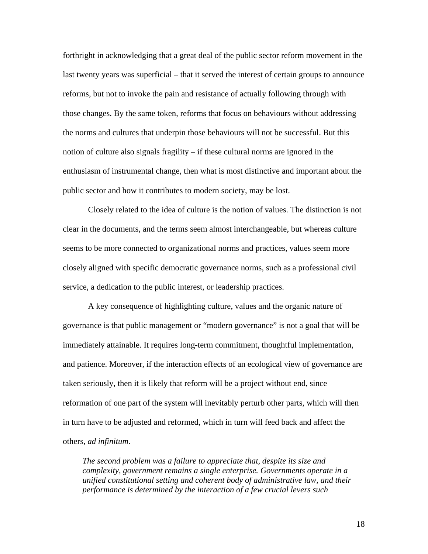forthright in acknowledging that a great deal of the public sector reform movement in the last twenty years was superficial – that it served the interest of certain groups to announce reforms, but not to invoke the pain and resistance of actually following through with those changes. By the same token, reforms that focus on behaviours without addressing the norms and cultures that underpin those behaviours will not be successful. But this notion of culture also signals fragility – if these cultural norms are ignored in the enthusiasm of instrumental change, then what is most distinctive and important about the public sector and how it contributes to modern society, may be lost.

Closely related to the idea of culture is the notion of values. The distinction is not clear in the documents, and the terms seem almost interchangeable, but whereas culture seems to be more connected to organizational norms and practices, values seem more closely aligned with specific democratic governance norms, such as a professional civil service, a dedication to the public interest, or leadership practices.

A key consequence of highlighting culture, values and the organic nature of governance is that public management or "modern governance" is not a goal that will be immediately attainable. It requires long-term commitment, thoughtful implementation, and patience. Moreover, if the interaction effects of an ecological view of governance are taken seriously, then it is likely that reform will be a project without end, since reformation of one part of the system will inevitably perturb other parts, which will then in turn have to be adjusted and reformed, which in turn will feed back and affect the others, *ad infinitum*.

*The second problem was a failure to appreciate that, despite its size and complexity, government remains a single enterprise. Governments operate in a unified constitutional setting and coherent body of administrative law, and their performance is determined by the interaction of a few crucial levers such*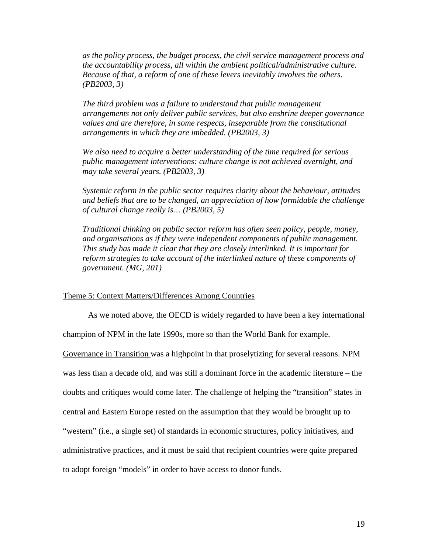*as the policy process, the budget process, the civil service management process and the accountability process, all within the ambient political/administrative culture. Because of that, a reform of one of these levers inevitably involves the others. (PB2003, 3)* 

*The third problem was a failure to understand that public management arrangements not only deliver public services, but also enshrine deeper governance*  values and are therefore, in some respects, inseparable from the constitutional *arrangements in which they are imbedded. (PB2003, 3)* 

*We also need to acquire a better understanding of the time required for serious public management interventions: culture change is not achieved overnight, and may take several years. (PB2003, 3)* 

*Systemic reform in the public sector requires clarity about the behaviour, attitudes and beliefs that are to be changed, an appreciation of how formidable the challenge of cultural change really is… (PB2003, 5)* 

*Traditional thinking on public sector reform has often seen policy, people, money, and organisations as if they were independent components of public management. This study has made it clear that they are closely interlinked. It is important for*  reform strategies to take account of the interlinked nature of these components of *government. (MG, 201)* 

# Theme 5: Context Matters/Differences Among Countries

As we noted above, the OECD is widely regarded to have been a key international champion of NPM in the late 1990s, more so than the World Bank for example.

Governance in Transition was a highpoint in that proselytizing for several reasons. NPM was less than a decade old, and was still a dominant force in the academic literature – the doubts and critiques would come later. The challenge of helping the "transition" states in central and Eastern Europe rested on the assumption that they would be brought up to "western" (i.e., a single set) of standards in economic structures, policy initiatives, and administrative practices, and it must be said that recipient countries were quite prepared to adopt foreign "models" in order to have access to donor funds.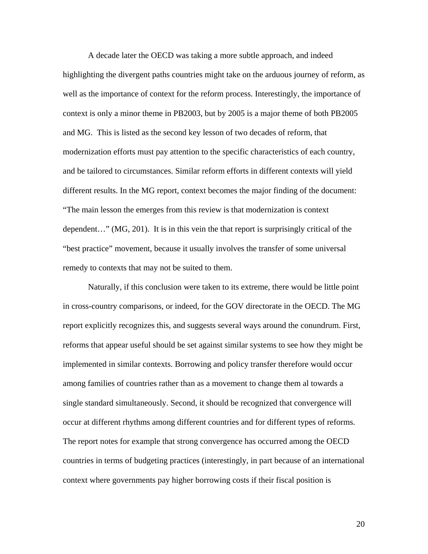A decade later the OECD was taking a more subtle approach, and indeed highlighting the divergent paths countries might take on the arduous journey of reform, as well as the importance of context for the reform process. Interestingly, the importance of context is only a minor theme in PB2003, but by 2005 is a major theme of both PB2005 and MG. This is listed as the second key lesson of two decades of reform, that modernization efforts must pay attention to the specific characteristics of each country, and be tailored to circumstances. Similar reform efforts in different contexts will yield different results. In the MG report, context becomes the major finding of the document: "The main lesson the emerges from this review is that modernization is context dependent…" (MG, 201). It is in this vein the that report is surprisingly critical of the "best practice" movement, because it usually involves the transfer of some universal remedy to contexts that may not be suited to them.

Naturally, if this conclusion were taken to its extreme, there would be little point in cross-country comparisons, or indeed, for the GOV directorate in the OECD. The MG report explicitly recognizes this, and suggests several ways around the conundrum. First, reforms that appear useful should be set against similar systems to see how they might be implemented in similar contexts. Borrowing and policy transfer therefore would occur among families of countries rather than as a movement to change them al towards a single standard simultaneously. Second, it should be recognized that convergence will occur at different rhythms among different countries and for different types of reforms. The report notes for example that strong convergence has occurred among the OECD countries in terms of budgeting practices (interestingly, in part because of an international context where governments pay higher borrowing costs if their fiscal position is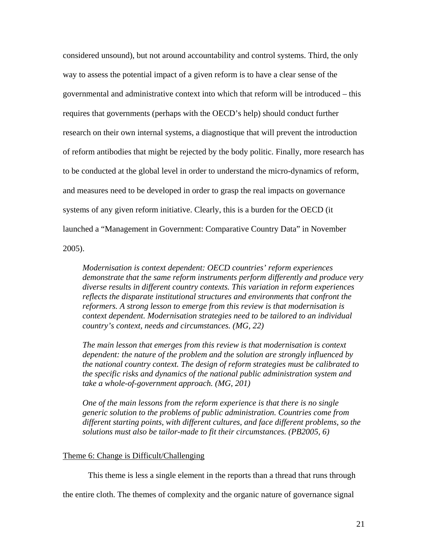considered unsound), but not around accountability and control systems. Third, the only way to assess the potential impact of a given reform is to have a clear sense of the governmental and administrative context into which that reform will be introduced – this requires that governments (perhaps with the OECD's help) should conduct further research on their own internal systems, a diagnostique that will prevent the introduction of reform antibodies that might be rejected by the body politic. Finally, more research has to be conducted at the global level in order to understand the micro-dynamics of reform, and measures need to be developed in order to grasp the real impacts on governance systems of any given reform initiative. Clearly, this is a burden for the OECD (it launched a "Management in Government: Comparative Country Data" in November 2005).

*Modernisation is context dependent: OECD countries' reform experiences demonstrate that the same reform instruments perform differently and produce very diverse results in different country contexts. This variation in reform experiences reflects the disparate institutional structures and environments that confront the reformers. A strong lesson to emerge from this review is that modernisation is context dependent. Modernisation strategies need to be tailored to an individual country's context, needs and circumstances. (MG, 22)* 

*The main lesson that emerges from this review is that modernisation is context dependent: the nature of the problem and the solution are strongly influenced by the national country context. The design of reform strategies must be calibrated to the specific risks and dynamics of the national public administration system and take a whole-of-government approach. (MG, 201)* 

*One of the main lessons from the reform experience is that there is no single generic solution to the problems of public administration. Countries come from different starting points, with different cultures, and face different problems, so the solutions must also be tailor-made to fit their circumstances. (PB2005, 6)* 

### Theme 6: Change is Difficult/Challenging

This theme is less a single element in the reports than a thread that runs through

the entire cloth. The themes of complexity and the organic nature of governance signal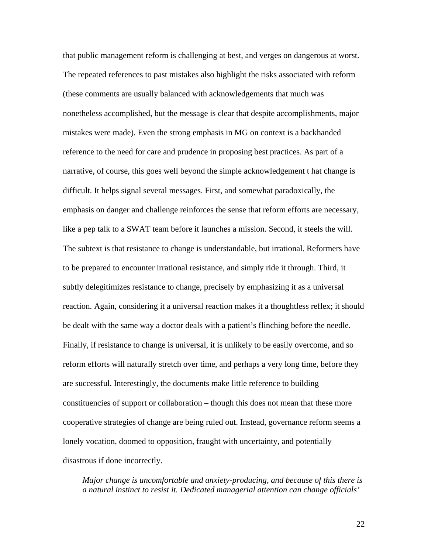that public management reform is challenging at best, and verges on dangerous at worst. The repeated references to past mistakes also highlight the risks associated with reform (these comments are usually balanced with acknowledgements that much was nonetheless accomplished, but the message is clear that despite accomplishments, major mistakes were made). Even the strong emphasis in MG on context is a backhanded reference to the need for care and prudence in proposing best practices. As part of a narrative, of course, this goes well beyond the simple acknowledgement t hat change is difficult. It helps signal several messages. First, and somewhat paradoxically, the emphasis on danger and challenge reinforces the sense that reform efforts are necessary, like a pep talk to a SWAT team before it launches a mission. Second, it steels the will. The subtext is that resistance to change is understandable, but irrational. Reformers have to be prepared to encounter irrational resistance, and simply ride it through. Third, it subtly delegitimizes resistance to change, precisely by emphasizing it as a universal reaction. Again, considering it a universal reaction makes it a thoughtless reflex; it should be dealt with the same way a doctor deals with a patient's flinching before the needle. Finally, if resistance to change is universal, it is unlikely to be easily overcome, and so reform efforts will naturally stretch over time, and perhaps a very long time, before they are successful. Interestingly, the documents make little reference to building constituencies of support or collaboration – though this does not mean that these more cooperative strategies of change are being ruled out. Instead, governance reform seems a lonely vocation, doomed to opposition, fraught with uncertainty, and potentially disastrous if done incorrectly.

*Major change is uncomfortable and anxiety-producing, and because of this there is a natural instinct to resist it. Dedicated managerial attention can change officials'*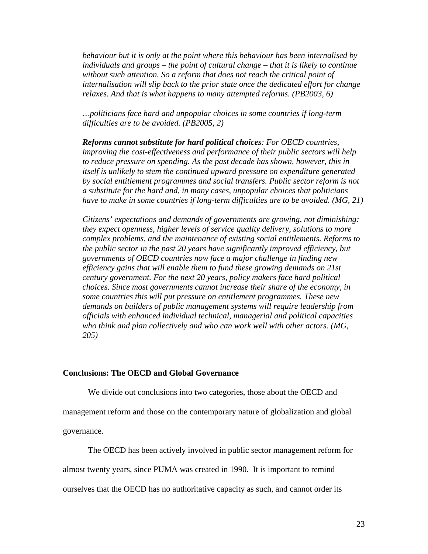*behaviour but it is only at the point where this behaviour has been internalised by individuals and groups – the point of cultural change – that it is likely to continue without such attention. So a reform that does not reach the critical point of internalisation will slip back to the prior state once the dedicated effort for change relaxes. And that is what happens to many attempted reforms. (PB2003, 6)* 

*…politicians face hard and unpopular choices in some countries if long-term difficulties are to be avoided. (PB2005, 2)* 

*Reforms cannot substitute for hard political choices: For OECD countries, improving the cost-effectiveness and performance of their public sectors will help to reduce pressure on spending. As the past decade has shown, however, this in itself is unlikely to stem the continued upward pressure on expenditure generated by social entitlement programmes and social transfers. Public sector reform is not a substitute for the hard and, in many cases, unpopular choices that politicians have to make in some countries if long-term difficulties are to be avoided. (MG, 21)* 

*Citizens' expectations and demands of governments are growing, not diminishing: they expect openness, higher levels of service quality delivery, solutions to more complex problems, and the maintenance of existing social entitlements. Reforms to the public sector in the past 20 years have significantly improved efficiency, but governments of OECD countries now face a major challenge in finding new efficiency gains that will enable them to fund these growing demands on 21st century government. For the next 20 years, policy makers face hard political choices. Since most governments cannot increase their share of the economy, in some countries this will put pressure on entitlement programmes. These new demands on builders of public management systems will require leadership from officials with enhanced individual technical, managerial and political capacities who think and plan collectively and who can work well with other actors. (MG, 205)* 

# **Conclusions: The OECD and Global Governance**

We divide out conclusions into two categories, those about the OECD and

management reform and those on the contemporary nature of globalization and global

governance.

The OECD has been actively involved in public sector management reform for

almost twenty years, since PUMA was created in 1990. It is important to remind

ourselves that the OECD has no authoritative capacity as such, and cannot order its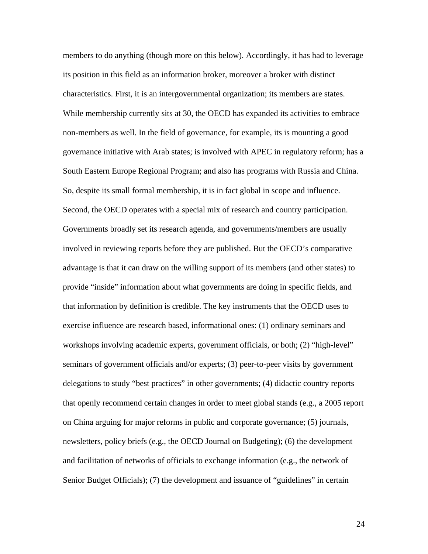members to do anything (though more on this below). Accordingly, it has had to leverage its position in this field as an information broker, moreover a broker with distinct characteristics. First, it is an intergovernmental organization; its members are states. While membership currently sits at 30, the OECD has expanded its activities to embrace non-members as well. In the field of governance, for example, its is mounting a good governance initiative with Arab states; is involved with APEC in regulatory reform; has a South Eastern Europe Regional Program; and also has programs with Russia and China. So, despite its small formal membership, it is in fact global in scope and influence. Second, the OECD operates with a special mix of research and country participation. Governments broadly set its research agenda, and governments/members are usually involved in reviewing reports before they are published. But the OECD's comparative advantage is that it can draw on the willing support of its members (and other states) to provide "inside" information about what governments are doing in specific fields, and that information by definition is credible. The key instruments that the OECD uses to exercise influence are research based, informational ones: (1) ordinary seminars and workshops involving academic experts, government officials, or both; (2) "high-level" seminars of government officials and/or experts; (3) peer-to-peer visits by government delegations to study "best practices" in other governments; (4) didactic country reports that openly recommend certain changes in order to meet global stands (e.g., a 2005 report on China arguing for major reforms in public and corporate governance; (5) journals, newsletters, policy briefs (e.g., the OECD Journal on Budgeting); (6) the development and facilitation of networks of officials to exchange information (e.g., the network of Senior Budget Officials); (7) the development and issuance of "guidelines" in certain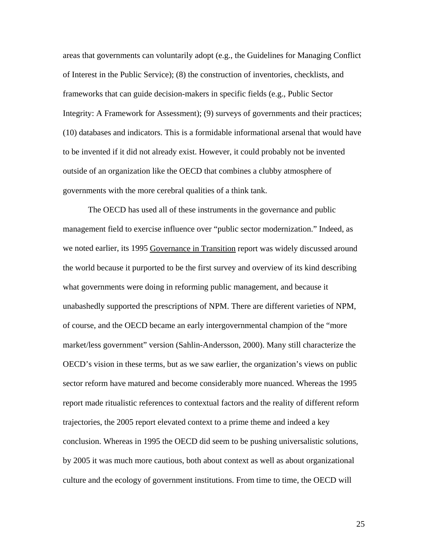areas that governments can voluntarily adopt (e.g., the Guidelines for Managing Conflict of Interest in the Public Service); (8) the construction of inventories, checklists, and frameworks that can guide decision-makers in specific fields (e.g., Public Sector Integrity: A Framework for Assessment); (9) surveys of governments and their practices; (10) databases and indicators. This is a formidable informational arsenal that would have to be invented if it did not already exist. However, it could probably not be invented outside of an organization like the OECD that combines a clubby atmosphere of governments with the more cerebral qualities of a think tank.

The OECD has used all of these instruments in the governance and public management field to exercise influence over "public sector modernization." Indeed, as we noted earlier, its 1995 Governance in Transition report was widely discussed around the world because it purported to be the first survey and overview of its kind describing what governments were doing in reforming public management, and because it unabashedly supported the prescriptions of NPM. There are different varieties of NPM, of course, and the OECD became an early intergovernmental champion of the "more market/less government" version (Sahlin-Andersson, 2000). Many still characterize the OECD's vision in these terms, but as we saw earlier, the organization's views on public sector reform have matured and become considerably more nuanced. Whereas the 1995 report made ritualistic references to contextual factors and the reality of different reform trajectories, the 2005 report elevated context to a prime theme and indeed a key conclusion. Whereas in 1995 the OECD did seem to be pushing universalistic solutions, by 2005 it was much more cautious, both about context as well as about organizational culture and the ecology of government institutions. From time to time, the OECD will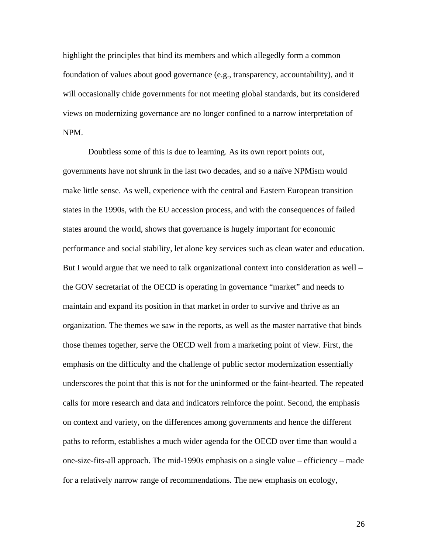highlight the principles that bind its members and which allegedly form a common foundation of values about good governance (e.g., transparency, accountability), and it will occasionally chide governments for not meeting global standards, but its considered views on modernizing governance are no longer confined to a narrow interpretation of NPM.

Doubtless some of this is due to learning. As its own report points out, governments have not shrunk in the last two decades, and so a naïve NPMism would make little sense. As well, experience with the central and Eastern European transition states in the 1990s, with the EU accession process, and with the consequences of failed states around the world, shows that governance is hugely important for economic performance and social stability, let alone key services such as clean water and education. But I would argue that we need to talk organizational context into consideration as well – the GOV secretariat of the OECD is operating in governance "market" and needs to maintain and expand its position in that market in order to survive and thrive as an organization. The themes we saw in the reports, as well as the master narrative that binds those themes together, serve the OECD well from a marketing point of view. First, the emphasis on the difficulty and the challenge of public sector modernization essentially underscores the point that this is not for the uninformed or the faint-hearted. The repeated calls for more research and data and indicators reinforce the point. Second, the emphasis on context and variety, on the differences among governments and hence the different paths to reform, establishes a much wider agenda for the OECD over time than would a one-size-fits-all approach. The mid-1990s emphasis on a single value – efficiency – made for a relatively narrow range of recommendations. The new emphasis on ecology,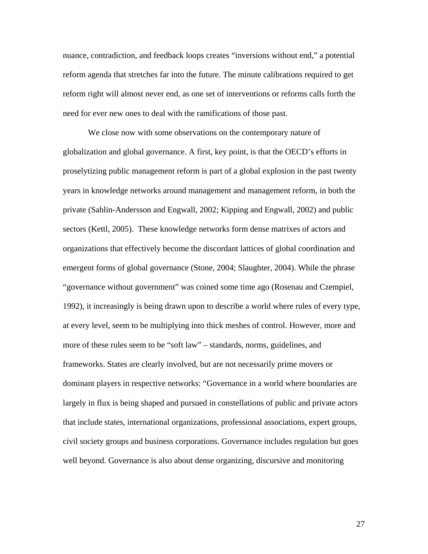nuance, contradiction, and feedback loops creates "inversions without end," a potential reform agenda that stretches far into the future. The minute calibrations required to get reform right will almost never end, as one set of interventions or reforms calls forth the need for ever new ones to deal with the ramifications of those past.

We close now with some observations on the contemporary nature of globalization and global governance. A first, key point, is that the OECD's efforts in proselytizing public management reform is part of a global explosion in the past twenty years in knowledge networks around management and management reform, in both the private (Sahlin-Andersson and Engwall, 2002; Kipping and Engwall, 2002) and public sectors (Kettl, 2005). These knowledge networks form dense matrixes of actors and organizations that effectively become the discordant lattices of global coordination and emergent forms of global governance (Stone, 2004; Slaughter, 2004). While the phrase "governance without government" was coined some time ago (Rosenau and Czempiel, 1992), it increasingly is being drawn upon to describe a world where rules of every type, at every level, seem to be multiplying into thick meshes of control. However, more and more of these rules seem to be "soft law" – standards, norms, guidelines, and frameworks. States are clearly involved, but are not necessarily prime movers or dominant players in respective networks: "Governance in a world where boundaries are largely in flux is being shaped and pursued in constellations of public and private actors that include states, international organizations, professional associations, expert groups, civil society groups and business corporations. Governance includes regulation but goes well beyond. Governance is also about dense organizing, discursive and monitoring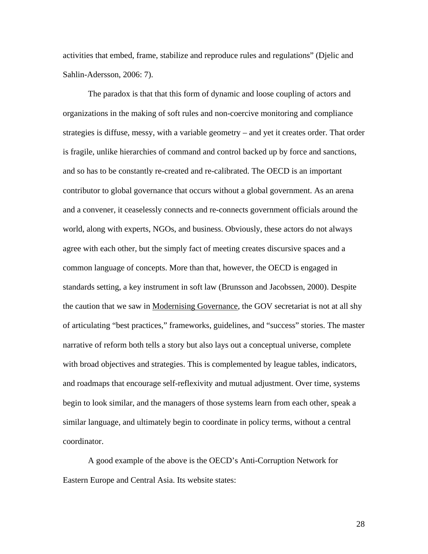activities that embed, frame, stabilize and reproduce rules and regulations" (Djelic and Sahlin-Adersson, 2006: 7).

The paradox is that that this form of dynamic and loose coupling of actors and organizations in the making of soft rules and non-coercive monitoring and compliance strategies is diffuse, messy, with a variable geometry – and yet it creates order. That order is fragile, unlike hierarchies of command and control backed up by force and sanctions, and so has to be constantly re-created and re-calibrated. The OECD is an important contributor to global governance that occurs without a global government. As an arena and a convener, it ceaselessly connects and re-connects government officials around the world, along with experts, NGOs, and business. Obviously, these actors do not always agree with each other, but the simply fact of meeting creates discursive spaces and a common language of concepts. More than that, however, the OECD is engaged in standards setting, a key instrument in soft law (Brunsson and Jacobssen, 2000). Despite the caution that we saw in Modernising Governance, the GOV secretariat is not at all shy of articulating "best practices," frameworks, guidelines, and "success" stories. The master narrative of reform both tells a story but also lays out a conceptual universe, complete with broad objectives and strategies. This is complemented by league tables, indicators, and roadmaps that encourage self-reflexivity and mutual adjustment. Over time, systems begin to look similar, and the managers of those systems learn from each other, speak a similar language, and ultimately begin to coordinate in policy terms, without a central coordinator.

A good example of the above is the OECD's Anti-Corruption Network for Eastern Europe and Central Asia. Its website states: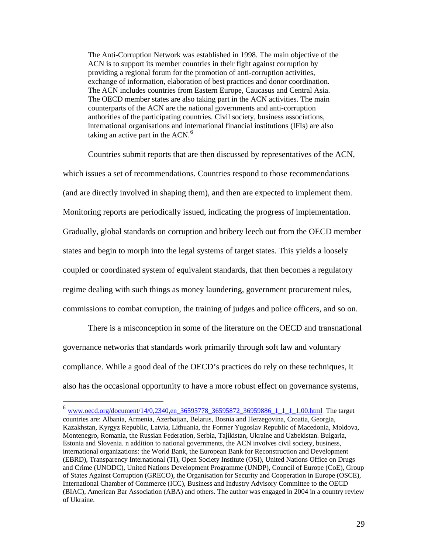The Anti-Corruption Network was established in 1998. The main objective of the ACN is to support its member countries in their fight against corruption by providing a regional forum for the promotion of anti-corruption activities, exchange of information, elaboration of best practices and donor coordination. The ACN includes countries from Eastern Europe, Caucasus and Central Asia. The OECD member states are also taking part in the ACN activities. The main counterparts of the ACN are the national governments and anti-corruption authorities of the participating countries. Civil society, business associations, international organisations and international financial institutions (IFIs) are also taking an active part in the ACN. $^{6}$  $^{6}$  $^{6}$ 

Countries submit reports that are then discussed by representatives of the ACN, which issues a set of recommendations. Countries respond to those recommendations (and are directly involved in shaping them), and then are expected to implement them. Monitoring reports are periodically issued, indicating the progress of implementation. Gradually, global standards on corruption and bribery leech out from the OECD member states and begin to morph into the legal systems of target states. This yields a loosely coupled or coordinated system of equivalent standards, that then becomes a regulatory regime dealing with such things as money laundering, government procurement rules, commissions to combat corruption, the training of judges and police officers, and so on.

There is a misconception in some of the literature on the OECD and transnational governance networks that standards work primarily through soft law and voluntary compliance. While a good deal of the OECD's practices do rely on these techniques, it also has the occasional opportunity to have a more robust effect on governance systems,

<span id="page-28-0"></span><sup>&</sup>lt;sup>6</sup> [www.oecd.org/document/14/0,2340,en\\_36595778\\_36595872\\_36959886\\_1\\_1\\_1\\_1,00.html](http://www.oecd.org/document/14/0,2340,en_36595778_36595872_36959886_1_1_1_1,00.html) The target countries are: Albania, Armenia, Azerbaijan, Belarus, Bosnia and Herzegovina, Croatia, Georgia, Kazakhstan, Kyrgyz Republic, Latvia, Lithuania, the Former Yugoslav Republic of Macedonia, Moldova, Montenegro, Romania, the Russian Federation, Serbia, Tajikistan, Ukraine and Uzbekistan. Bulgaria, Estonia and Slovenia. n addition to national governments, the ACN involves civil society, business, international organizations: the World Bank, the European Bank for Reconstruction and Development (EBRD), Transparency International (TI), Open Society Institute (OSI), United Nations Office on Drugs and Crime (UNODC), United Nations Development Programme (UNDP), Council of Europe (CoE), Group of States Against Corruption (GRECO), the Organisation for Security and Cooperation in Europe (OSCE), International Chamber of Commerce (ICC), Business and Industry Advisory Committee to the OECD (BIAC), American Bar Association (ABA) and others. The author was engaged in 2004 in a country review of Ukraine.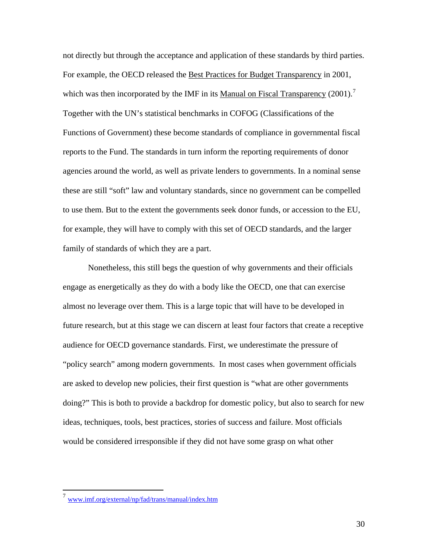not directly but through the acceptance and application of these standards by third parties. For example, the OECD released the Best Practices for Budget Transparency in 2001, which was then incorporated by the IMF in its Manual on Fiscal Transparency (2001).<sup>[7](#page-29-0)</sup> Together with the UN's statistical benchmarks in COFOG (Classifications of the Functions of Government) these become standards of compliance in governmental fiscal reports to the Fund. The standards in turn inform the reporting requirements of donor agencies around the world, as well as private lenders to governments. In a nominal sense these are still "soft" law and voluntary standards, since no government can be compelled to use them. But to the extent the governments seek donor funds, or accession to the EU, for example, they will have to comply with this set of OECD standards, and the larger family of standards of which they are a part.

Nonetheless, this still begs the question of why governments and their officials engage as energetically as they do with a body like the OECD, one that can exercise almost no leverage over them. This is a large topic that will have to be developed in future research, but at this stage we can discern at least four factors that create a receptive audience for OECD governance standards. First, we underestimate the pressure of "policy search" among modern governments. In most cases when government officials are asked to develop new policies, their first question is "what are other governments doing?" This is both to provide a backdrop for domestic policy, but also to search for new ideas, techniques, tools, best practices, stories of success and failure. Most officials would be considered irresponsible if they did not have some grasp on what other

<span id="page-29-0"></span><sup>7</sup> [www.imf.org/external/np/fad/trans/manual/index.htm](http://www.imf.org/external/np/fad/trans/manual/index.htm)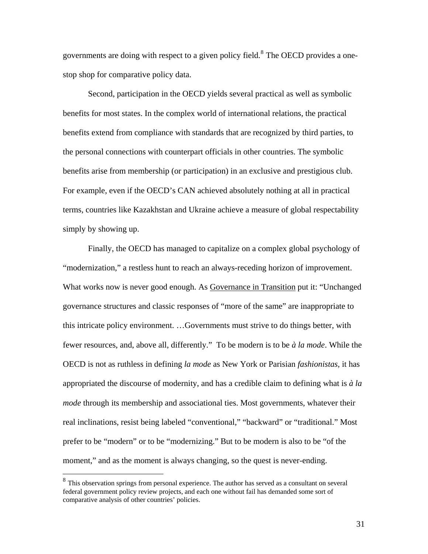governments are doing with respect to a given policy field.<sup>[8](#page-30-0)</sup> The OECD provides a onestop shop for comparative policy data.

Second, participation in the OECD yields several practical as well as symbolic benefits for most states. In the complex world of international relations, the practical benefits extend from compliance with standards that are recognized by third parties, to the personal connections with counterpart officials in other countries. The symbolic benefits arise from membership (or participation) in an exclusive and prestigious club. For example, even if the OECD's CAN achieved absolutely nothing at all in practical terms, countries like Kazakhstan and Ukraine achieve a measure of global respectability simply by showing up.

Finally, the OECD has managed to capitalize on a complex global psychology of "modernization," a restless hunt to reach an always-receding horizon of improvement. What works now is never good enough. As Governance in Transition put it: "Unchanged governance structures and classic responses of "more of the same" are inappropriate to this intricate policy environment. …Governments must strive to do things better, with fewer resources, and, above all, differently." To be modern is to be *à la mode*. While the OECD is not as ruthless in defining *la mode* as New York or Parisian *fashionistas*, it has appropriated the discourse of modernity, and has a credible claim to defining what is *à la mode* through its membership and associational ties. Most governments, whatever their real inclinations, resist being labeled "conventional," "backward" or "traditional." Most prefer to be "modern" or to be "modernizing." But to be modern is also to be "of the moment," and as the moment is always changing, so the quest is never-ending.

<span id="page-30-0"></span> $8\text{ This observation springs from personal experience.}$  This observation springs from personal experience. The author has served as a consultant on several federal government policy review projects, and each one without fail has demanded some sort of comparative analysis of other countries' policies.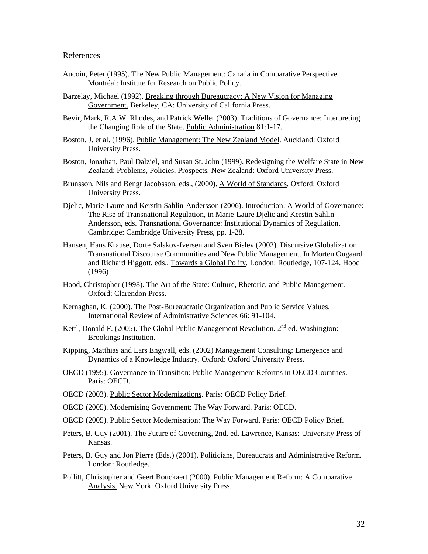# References

- Aucoin, Peter (1995). The New Public Management: Canada in Comparative Perspective*.*  Montréal: Institute for Research on Public Policy.
- Barzelay, Michael (1992). Breaking through Bureaucracy: A New Vision for Managing Government. Berkeley, CA: University of California Press.
- Bevir, Mark, R.A.W. Rhodes, and Patrick Weller (2003). Traditions of Governance: Interpreting the Changing Role of the State. Public Administration 81:1-17.
- Boston, J. et al. (1996). Public Management: The New Zealand Model. Auckland: Oxford University Press.
- Boston, Jonathan, Paul Dalziel, and Susan St. John (1999). Redesigning the Welfare State in New Zealand: Problems, Policies, Prospects*.* New Zealand: Oxford University Press.
- Brunsson, Nils and Bengt Jacobsson, eds., (2000). A World of Standards*.* Oxford: Oxford University Press.
- Djelic, Marie-Laure and Kerstin Sahlin-Andersson (2006). Introduction: A World of Governance: The Rise of Transnational Regulation, in Marie-Laure Djelic and Kerstin Sahlin-Andersson, eds. Transnational Governance: Institutional Dynamics of Regulation. Cambridge: Cambridge University Press, pp. 1-28.
- Hansen, Hans Krause, Dorte Salskov-Iversen and Sven Bislev (2002). Discursive Globalization: Transnational Discourse Communities and New Public Management. In Morten Ougaard and Richard Higgott, eds., Towards a Global Polity*.* London: Routledge, 107-124. Hood (1996)
- Hood, Christopher (1998). The Art of the State: Culture, Rhetoric, and Public Management*.*  Oxford: Clarendon Press.
- Kernaghan, K. (2000). The Post-Bureaucratic Organization and Public Service Values. International Review of Administrative Sciences 66: 91-104.
- Kettl, Donald F. (2005). The Global Public Management Revolution. 2<sup>nd</sup> ed. Washington: Brookings Institution.
- Kipping, Matthias and Lars Engwall, eds. (2002) Management Consulting: Emergence and Dynamics of a Knowledge Industry. Oxford: Oxford University Press.
- OECD (1995). Governance in Transition: Public Management Reforms in OECD Countries. Paris: OECD.
- OECD (2003). Public Sector Modernizations. Paris: OECD Policy Brief.
- OECD (2005). Modernising Government: The Way Forward. Paris: OECD.
- OECD (2005). Public Sector Modernisation: The Way Forward. Paris: OECD Policy Brief.
- Peters, B. Guy (2001). The Future of Governing, 2nd. ed. Lawrence, Kansas: University Press of Kansas.
- Peters, B. Guy and Jon Pierre (Eds.) (2001). Politicians, Bureaucrats and Administrative Reform. London: Routledge.
- Pollitt, Christopher and Geert Bouckaert (2000). Public Management Reform: A Comparative Analysis. New York: Oxford University Press.